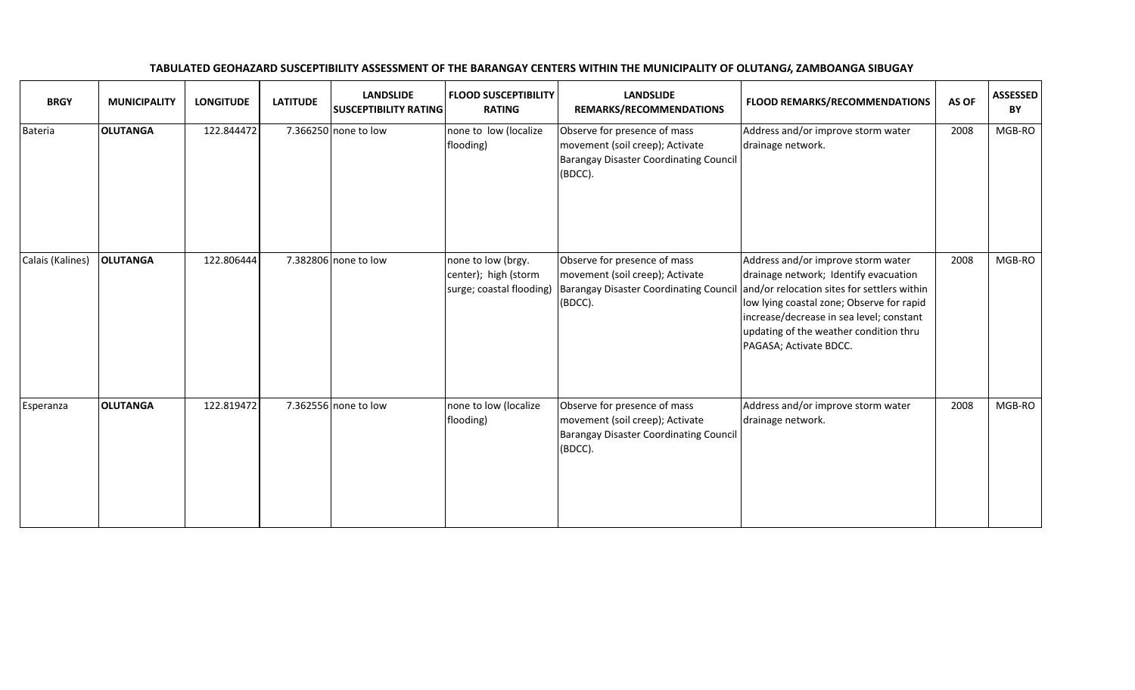| <b>BRGY</b>      | <b>MUNICIPALITY</b> | <b>LONGITUDE</b> | <b>LATITUDE</b> | <b>LANDSLIDE</b><br><b>SUSCEPTIBILITY RATING</b> | <b>FLOOD SUSCEPTIBILITY</b><br><b>RATING</b>                           | <b>LANDSLIDE</b><br>REMARKS/RECOMMENDATIONS                                                                                 | <b>FLOOD REMARKS/RECOMMENDATIONS</b>                                                                                                                                                                                                                                                    | AS OF | <b>ASSESSED</b><br>BY |
|------------------|---------------------|------------------|-----------------|--------------------------------------------------|------------------------------------------------------------------------|-----------------------------------------------------------------------------------------------------------------------------|-----------------------------------------------------------------------------------------------------------------------------------------------------------------------------------------------------------------------------------------------------------------------------------------|-------|-----------------------|
| <b>Bateria</b>   | <b>OLUTANGA</b>     | 122.844472       |                 | 7.366250 none to low                             | none to low (localize<br>flooding)                                     | Observe for presence of mass<br>movement (soil creep); Activate<br><b>Barangay Disaster Coordinating Council</b><br>(BDCC). | Address and/or improve storm water<br>drainage network.                                                                                                                                                                                                                                 | 2008  | MGB-RO                |
| Calais (Kalines) | <b>OLUTANGA</b>     | 122.806444       |                 | 7.382806 none to low                             | none to low (brgy.<br>center); high (storm<br>surge; coastal flooding) | Observe for presence of mass<br>movement (soil creep); Activate<br><b>Barangay Disaster Coordinating Counci</b><br>(BDCC).  | Address and/or improve storm water<br>drainage network; Identify evacuation<br>and/or relocation sites for settlers within<br>low lying coastal zone; Observe for rapid<br>increase/decrease in sea level; constant<br>updating of the weather condition thru<br>PAGASA; Activate BDCC. | 2008  | MGB-RO                |
| Esperanza        | <b>OLUTANGA</b>     | 122.819472       |                 | 7.362556 none to low                             | none to low (localize<br>flooding)                                     | Observe for presence of mass<br>movement (soil creep); Activate<br><b>Barangay Disaster Coordinating Council</b><br>(BDCC). | Address and/or improve storm water<br>drainage network.                                                                                                                                                                                                                                 | 2008  | MGB-RO                |

## TABULATED GEOHAZARD SUSCEPTIBILITY ASSESSMENT OF THE BARANGAY CENTERS WITHIN THE MUNICIPALITY OF OLUTANGA, ZAMBOANGA SIBUGAY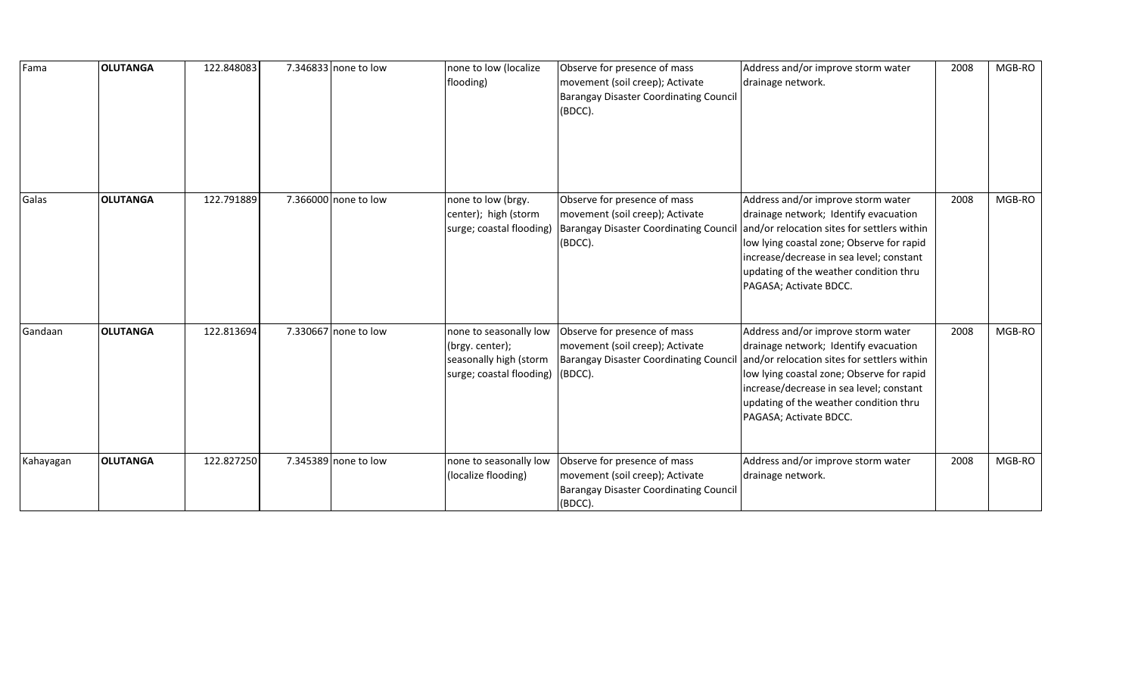| Fama      | <b>OLUTANGA</b> | 122.848083 | 7.346833 none to low | none to low (localize<br>flooding)                                                              | Observe for presence of mass<br>movement (soil creep); Activate<br><b>Barangay Disaster Coordinating Council</b><br>(BDCC). | Address and/or improve storm water<br>drainage network.                                                                                                                                                                                                                                 | 2008 | MGB-RO |
|-----------|-----------------|------------|----------------------|-------------------------------------------------------------------------------------------------|-----------------------------------------------------------------------------------------------------------------------------|-----------------------------------------------------------------------------------------------------------------------------------------------------------------------------------------------------------------------------------------------------------------------------------------|------|--------|
| Galas     | <b>OLUTANGA</b> | 122.791889 | 7.366000 none to low | none to low (brgy.<br>center); high (storm<br>surge; coastal flooding)                          | Observe for presence of mass<br>movement (soil creep); Activate<br><b>Barangay Disaster Coordinating Council</b><br>(BDCC). | Address and/or improve storm water<br>drainage network; Identify evacuation<br>and/or relocation sites for settlers within<br>low lying coastal zone; Observe for rapid<br>increase/decrease in sea level; constant<br>updating of the weather condition thru<br>PAGASA; Activate BDCC. | 2008 | MGB-RO |
| Gandaan   | <b>OLUTANGA</b> | 122.813694 | 7.330667 none to low | none to seasonally low<br>(brgy. center);<br>seasonally high (storm<br>surge; coastal flooding) | Observe for presence of mass<br>movement (soil creep); Activate<br><b>Barangay Disaster Coordinating Council</b><br>(BDCC). | Address and/or improve storm water<br>drainage network; Identify evacuation<br>and/or relocation sites for settlers within<br>low lying coastal zone; Observe for rapid<br>increase/decrease in sea level; constant<br>updating of the weather condition thru<br>PAGASA; Activate BDCC. | 2008 | MGB-RO |
| Kahayagan | <b>OLUTANGA</b> | 122.827250 | 7.345389 none to low | none to seasonally low<br>(localize flooding)                                                   | Observe for presence of mass<br>movement (soil creep); Activate<br><b>Barangay Disaster Coordinating Council</b><br>(BDCC). | Address and/or improve storm water<br>drainage network.                                                                                                                                                                                                                                 | 2008 | MGB-RO |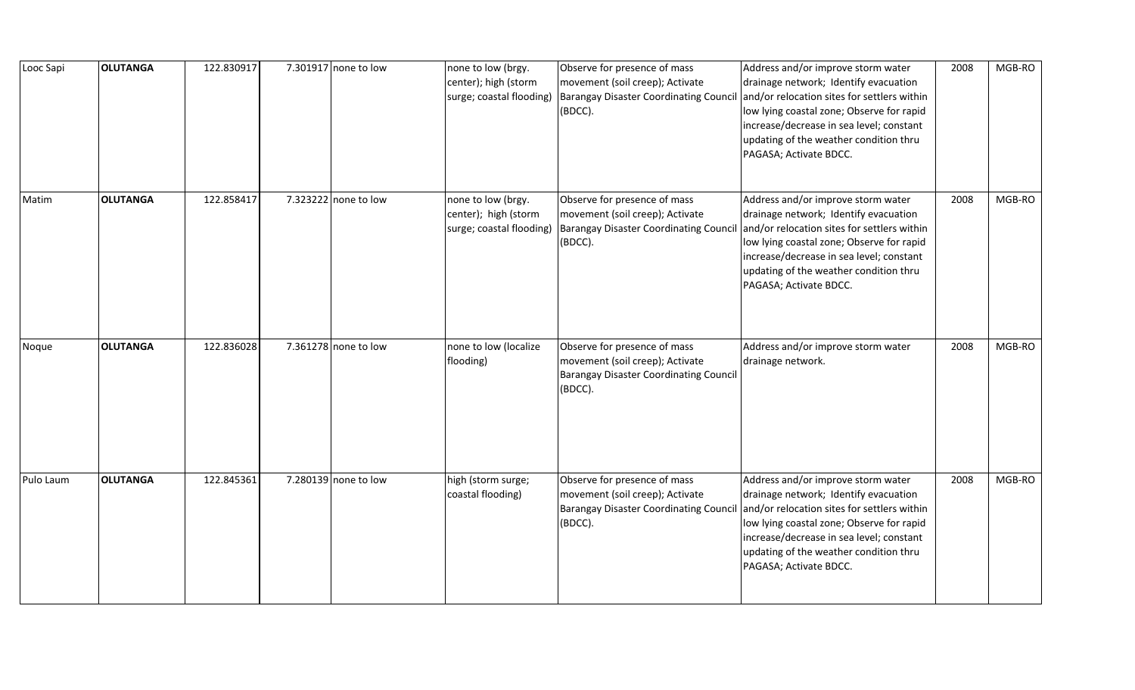| Looc Sapi | <b>OLUTANGA</b> | 122.830917 | 7.301917 none to low | none to low (brgy.<br>center); high (storm<br>surge; coastal flooding) | Observe for presence of mass<br>movement (soil creep); Activate<br><b>Barangay Disaster Coordinating Council</b><br>(BDCC). | Address and/or improve storm water<br>drainage network; Identify evacuation<br>and/or relocation sites for settlers within<br>low lying coastal zone; Observe for rapid<br>increase/decrease in sea level; constant<br>updating of the weather condition thru<br>PAGASA; Activate BDCC. | 2008 | MGB-RO |
|-----------|-----------------|------------|----------------------|------------------------------------------------------------------------|-----------------------------------------------------------------------------------------------------------------------------|-----------------------------------------------------------------------------------------------------------------------------------------------------------------------------------------------------------------------------------------------------------------------------------------|------|--------|
| Matim     | <b>OLUTANGA</b> | 122.858417 | 7.323222 none to low | none to low (brgy.<br>center); high (storm<br>surge; coastal flooding) | Observe for presence of mass<br>movement (soil creep); Activate<br><b>Barangay Disaster Coordinating Counci</b><br>(BDCC).  | Address and/or improve storm water<br>drainage network; Identify evacuation<br>and/or relocation sites for settlers within<br>low lying coastal zone; Observe for rapid<br>increase/decrease in sea level; constant<br>updating of the weather condition thru<br>PAGASA; Activate BDCC. | 2008 | MGB-RO |
| Noque     | <b>OLUTANGA</b> | 122.836028 | 7.361278 none to low | none to low (localize<br>flooding)                                     | Observe for presence of mass<br>movement (soil creep); Activate<br><b>Barangay Disaster Coordinating Council</b><br>(BDCC). | Address and/or improve storm water<br>drainage network.                                                                                                                                                                                                                                 | 2008 | MGB-RO |
| Pulo Laum | <b>OLUTANGA</b> | 122.845361 | 7.280139 none to low | high (storm surge;<br>coastal flooding)                                | Observe for presence of mass<br>movement (soil creep); Activate<br><b>Barangay Disaster Coordinating Council</b><br>(BDCC). | Address and/or improve storm water<br>drainage network; Identify evacuation<br>and/or relocation sites for settlers within<br>low lying coastal zone; Observe for rapid<br>increase/decrease in sea level; constant<br>updating of the weather condition thru<br>PAGASA; Activate BDCC. | 2008 | MGB-RO |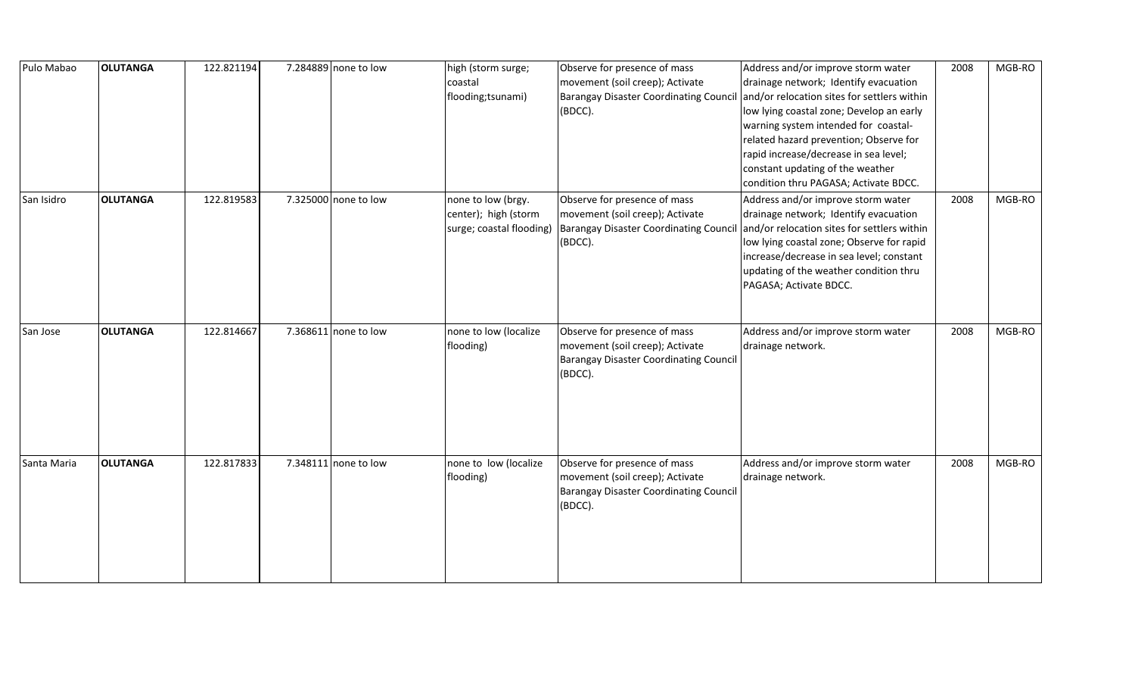| Pulo Mabao  | <b>OLUTANGA</b> | 122.821194 | 7.284889 none to low | high (storm surge;       | Observe for presence of mass                  | Address and/or improve storm water          | 2008 | MGB-RO |
|-------------|-----------------|------------|----------------------|--------------------------|-----------------------------------------------|---------------------------------------------|------|--------|
|             |                 |            |                      | coastal                  | movement (soil creep); Activate               | drainage network; Identify evacuation       |      |        |
|             |                 |            |                      | flooding;tsunami)        | Barangay Disaster Coordinating Counci         | and/or relocation sites for settlers within |      |        |
|             |                 |            |                      |                          | (BDCC).                                       | low lying coastal zone; Develop an early    |      |        |
|             |                 |            |                      |                          |                                               | warning system intended for coastal-        |      |        |
|             |                 |            |                      |                          |                                               | related hazard prevention; Observe for      |      |        |
|             |                 |            |                      |                          |                                               | rapid increase/decrease in sea level;       |      |        |
|             |                 |            |                      |                          |                                               | constant updating of the weather            |      |        |
|             |                 |            |                      |                          |                                               |                                             |      |        |
|             |                 |            |                      |                          |                                               | condition thru PAGASA; Activate BDCC.       |      |        |
| San Isidro  | <b>OLUTANGA</b> | 122.819583 | 7.325000 none to low | none to low (brgy.       | Observe for presence of mass                  | Address and/or improve storm water          | 2008 | MGB-RO |
|             |                 |            |                      | center); high (storm     | movement (soil creep); Activate               | drainage network; Identify evacuation       |      |        |
|             |                 |            |                      | surge; coastal flooding) | <b>Barangay Disaster Coordinating Counci</b>  | and/or relocation sites for settlers within |      |        |
|             |                 |            |                      |                          | (BDCC).                                       | low lying coastal zone; Observe for rapid   |      |        |
|             |                 |            |                      |                          |                                               | increase/decrease in sea level; constant    |      |        |
|             |                 |            |                      |                          |                                               | updating of the weather condition thru      |      |        |
|             |                 |            |                      |                          |                                               | PAGASA; Activate BDCC.                      |      |        |
|             |                 |            |                      |                          |                                               |                                             |      |        |
|             |                 |            |                      |                          |                                               |                                             |      |        |
| San Jose    | <b>OLUTANGA</b> | 122.814667 | 7.368611 none to low | none to low (localize    | Observe for presence of mass                  | Address and/or improve storm water          | 2008 | MGB-RO |
|             |                 |            |                      | flooding)                | movement (soil creep); Activate               | drainage network.                           |      |        |
|             |                 |            |                      |                          | <b>Barangay Disaster Coordinating Council</b> |                                             |      |        |
|             |                 |            |                      |                          | (BDCC).                                       |                                             |      |        |
|             |                 |            |                      |                          |                                               |                                             |      |        |
|             |                 |            |                      |                          |                                               |                                             |      |        |
|             |                 |            |                      |                          |                                               |                                             |      |        |
|             |                 |            |                      |                          |                                               |                                             |      |        |
|             |                 |            |                      |                          |                                               |                                             |      |        |
|             | <b>OLUTANGA</b> |            |                      |                          | Observe for presence of mass                  |                                             |      |        |
| Santa Maria |                 | 122.817833 | 7.348111 none to low | none to low (localize    |                                               | Address and/or improve storm water          | 2008 | MGB-RO |
|             |                 |            |                      | flooding)                | movement (soil creep); Activate               | drainage network.                           |      |        |
|             |                 |            |                      |                          | <b>Barangay Disaster Coordinating Council</b> |                                             |      |        |
|             |                 |            |                      |                          | (BDCC).                                       |                                             |      |        |
|             |                 |            |                      |                          |                                               |                                             |      |        |
|             |                 |            |                      |                          |                                               |                                             |      |        |
|             |                 |            |                      |                          |                                               |                                             |      |        |
|             |                 |            |                      |                          |                                               |                                             |      |        |
|             |                 |            |                      |                          |                                               |                                             |      |        |